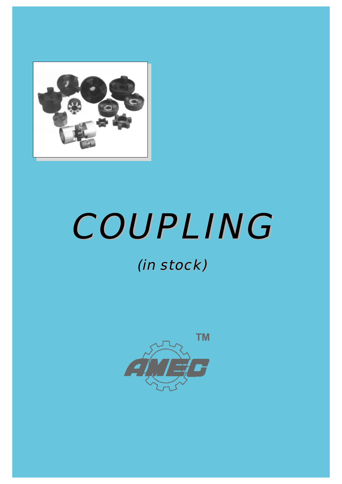

# COUPLING COUPLING

# in stock) (in stock)

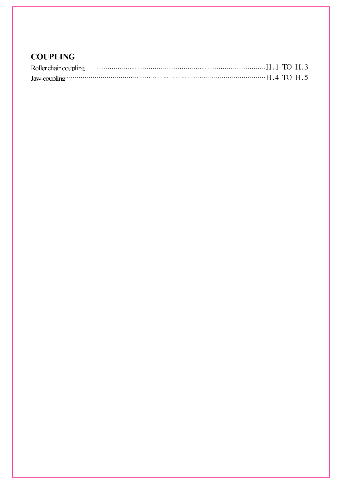| Jaw-coupling $\cdots$ $\cdots$ $\cdots$ $\cdots$ $\cdots$ $\cdots$ $\cdots$ $\cdots$ $\cdots$ $\cdots$ $\cdots$ $\cdots$ $\cdots$ $\cdots$ $\cdots$ $\cdots$ $\cdots$ $\cdots$ $\cdots$ $\cdots$ $\cdots$ $\cdots$ $\cdots$ $\cdots$ $\cdots$ $\cdots$ $\cdots$ $\cdots$ $\cdots$ $\cdots$ $\cdots$ $\cdots$ $\cdots$ $\cdots$ $\cdots$ |  |  |
|-----------------------------------------------------------------------------------------------------------------------------------------------------------------------------------------------------------------------------------------------------------------------------------------------------------------------------------------|--|--|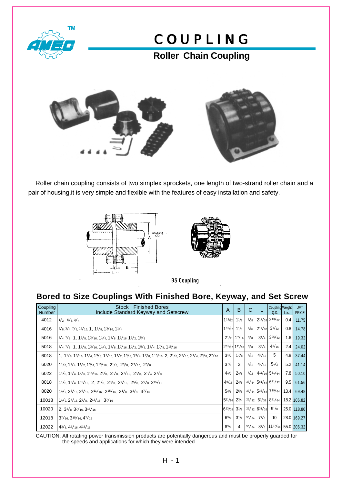

### **Roller Chain Coupling**



 Roller chain coupling consists of two simplex sprockets, one length of two-strand roller chain and a pair of housing,it is very simple and flexible with the features of easy installation and safety.





**BS Coupling** 

#### **Bored to Size Couplings With Finished Bore, Keyway, and Set Screw**

| Coupling<br><b>Number</b> | <b>Finished Bores</b><br><b>Stock</b><br>Include Standard Keyway and Setscrew                                  | A                                            | B                             | C            |                            | Coupling Weight<br>Q.D.                        | Lbs.             | <b>UMT</b><br><b>PRICE</b>     |
|---------------------------|----------------------------------------------------------------------------------------------------------------|----------------------------------------------|-------------------------------|--------------|----------------------------|------------------------------------------------|------------------|--------------------------------|
| 4012                      | $1/2$ , $5/8$ , $3/4$                                                                                          | $1^{13}/_{2}$ 1 <sup>1</sup> / <sub>8</sub>  |                               | 9/32         |                            | $2^{17}/_{32}$ 2 <sup>13</sup> / <sub>32</sub> | 0.41             | 11.75                          |
| 4016                      | $5/8$ , $3/4$ , $7/8$ , $15/16$ , 1, $11/8$ , $13/16$ , $11/4$                                                 | 131/32                                       | 11/8                          |              | $9/32$ 2 <sup>17</sup> /32 | $3^{1/32}$                                     | 0.8              | 14.78                          |
| 5016                      | $3/4, 7/8, 1, 11/8, 13/16, 11/4, 13/8, 17/16, 11/2, 15/8$                                                      |                                              | $2^{1/2}$   17/ <sub>16</sub> | 3/8          | $3^{1/4}$                  | $3^{25}/_{32}$                                 | 1.6              | 19.32                          |
| 5018                      | $3/4$ , $7/8$ , 1, $11/8$ , $13/16$ , $11/4$ , $13/8$ , $17/16$ , $11/2$ , $15/8$ , $13/4$ , $17/8$ , $115/16$ | $2^{31}/_{2}$ 11/ <sub>16</sub>              |                               | 3/8          | $3^{3}/_{4}$               | $4^{3}/_{16}$                                  | 2.4              | 24.02                          |
| 6018                      | 1, 11/8, 13/16, 11/4, 13/8, 17/16, 11/2, 15/8, 13/4, 17/8, 115/16, 2, 21/8, 23/16, 21/4, 23/8, 27/16           | $3^{1/2}$                                    | $1^{7}/_8$                    | $^{7}/_{16}$ | $4^{3}/_{16}$              | 5                                              | 4.8 <sub>1</sub> | 37.44                          |
| 6020                      | $11/8$ , $11/4$ , $11/2$ , $13/4$ , $115/16$ , $21/8$ , $23/8$ , $27/16$ , $25/8$                              | $3^{7}/_{8}$                                 | 2                             | 7/16         | 47/16                      | $5^{1/2}$                                      | 5.2              | 41.14                          |
| 6022                      | 11/8, 13/4, 17/8, 115/16, 21/8, 23/8, 27/16, 25/8, 23/4, 27/8                                                  | $4^{1/2}$                                    | $2^{1/8}$                     |              |                            | $7/16$ 411/16 561/64                           | 7.8              | 50.10                          |
| 8018                      | $11/8$ , $13/4$ , $115/16$ , 2, $21/8$ , $23/8$ , $27/16$ , $25/8$ , $27/8$ , $215/16$                         | 49/16                                        | $2^{3}/_8$                    |              |                            | $37/64$ 561/64 621/32                          |                  | $9.5$ 61.56                    |
| 8020                      | $1^{1/2}$ , $2^{3/16}$ , $2^{7/16}$ , $2^{11/16}$ , $2^{15/16}$ , $3^{1/8}$ , $3^{3/8}$ , $3^{7/16}$           | $5^{3}/_{8}$                                 | $2^{5/8}$                     |              |                            | $37/64$ 533/64 719/64                          | 13.4             | 69.48                          |
| 10018                     | $11/2$ , $27/16$ , $27/8$ , $215/16$ , $37/16$                                                                 | $5^{11}/_{16}$ 2 <sup>3</sup> / <sub>4</sub> |                               |              |                            | $23/32$ 67/32 821/64                           |                  | 18.2 106.82                    |
| 10020                     | 2, $3^{3}/_{8}$ , $3^{7}/_{16}$ , $3^{15}/_{16}$                                                               | $ 6^{23}/_{32} 3^{1}/_{8}$                   |                               |              | $23/32$ 631/32             | $9^{1/8}$                                      |                  | 25.0 118.80                    |
| 12018                     | $3^{7}/_{16}$ , $3^{15}/_{16}$ , $4^{7}/_{16}$                                                                 | 63/4                                         | $3^{1/2}$                     | 55/64        | 77/s                       | 10                                             |                  | 28.0 169.27                    |
| 12022                     | 43/8, 47/16, 415/16                                                                                            | $8^{3}/_{4}$                                 | $\overline{4}$                |              |                            |                                                |                  | 55/64 87/8 1157/64 55.0 206.32 |

CAUTION: All rotating power transmission products are potentially dangerous and must be properly guarded for the speeds and applications for which they were intended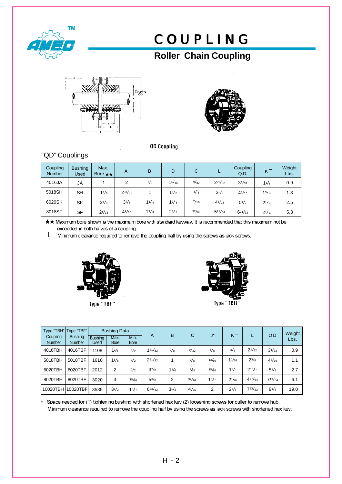

### **Roller Chain Coupling**





**QD Coupling** 

#### "QD" Couplings

| Coupling<br><b>Number</b> | <b>Bushing</b><br>Used | Max.<br>Bore $\star \star$ | A           | B         | D            | С     |                | Coupling<br>Q.D. | κ         | Weight<br>Lbs. |
|---------------------------|------------------------|----------------------------|-------------|-----------|--------------|-------|----------------|------------------|-----------|----------------|
| 4016JA                    | JA                     |                            | 2           | $^{7}/_8$ | 15/16        | 9/32  | $2^{29}/_{32}$ | $3^{1/32}$       | 11/4      | 0.9            |
| 5018SH                    | <b>SH</b>              | 13/8                       | $2^{31/32}$ |           | 11/2         | 3/8   | $3^{3}/_8$     | 43/16            | 13/4      | 1.3            |
| 6020SK                    | <b>SK</b>              | $2^{1/8}$                  | $3^{7}/_8$  | 11/4      | 17/8         | 7/16  | $4^{3}/_{16}$  | $5^{1}/2$        | $2^{1/4}$ | 2.5            |
| 8018SF                    | <b>SF</b>              | $2^{5/16}$                 | 49/16       | $1^{3}/4$ | $2^{3}/_{8}$ | 37/64 | $5^{21}/64$    | 621/32           | $2^{1/4}$ | 5.3            |

★★ Maximum bore shown is the maximum bore with standard keyway. It is recommended that this maximum not be exceeded in both halves of a coupling.

 $^\dagger$ Minimum clearance required to remove the coupling half by using the screws as jack screws.





| Coupling<br><b>Number</b> | Type "TBH"   Type "TBF"  <br><b>Bushing</b><br><b>Number</b> | <b>Bushing</b><br>Used | <b>Bushing Data</b><br>Max.<br><b>Bore</b> | Min.<br><b>Bore</b> | A              | B         | $\mathsf{C}$ | $J^*$ | $K +$     |            | <b>OD</b>     | Weight<br>Lbs. |
|---------------------------|--------------------------------------------------------------|------------------------|--------------------------------------------|---------------------|----------------|-----------|--------------|-------|-----------|------------|---------------|----------------|
| 4016TBH                   | 4016TBF                                                      | 1108                   | 11/8                                       | 1/2                 | $1^{31}/_{32}$ | $^{7}/_8$ | 9/32         | 5/8   | 3/4       | $2^{1/32}$ | $3^{1/32}$    | 0.9            |
| 5018TBH                   | 5018TBF                                                      | 1610                   | 15/8                                       | 1/2                 | $2^{31}/_{32}$ | 4         | 3/8          | 13/6  | 11/16     | $2^{3/8}$  | $4^{3}/_{16}$ | 1.1            |
| 6020TBH                   | 6020TBF                                                      | 2012                   | 2                                          | 1/2                 | $3^{7}/_8$     | 11/4      | 7/6          | 15/6  | 13/8      | $2^{15}/6$ | $5^{1/2}$     | 2.7            |
| 8020TBH                   | 8020TBF                                                      | 3020                   | 3                                          | 15/6                | $5^{3}/_{8}$   | 2         | 37/64        | 13/6  | $2^{1/6}$ | 437/64     | 719/64        | 6.1            |
| 10020TBH                  | 10020TBF                                                     | 3535                   | $3^{1/2}$                                  | 13/6                | $6^{23}/_{32}$ | $3^{1/2}$ | 23/32        | 2     | $2^{5/8}$ | 723/32     | $9^{1}/_8$    | 19.0           |

Space needed for (1) tightening bushing with shortened hex key (2) loosening screws for puller to remove hub.

 $\dagger$  Minimum clearance required to remove the coupling half by using the screws as jack screws with shortened hex key.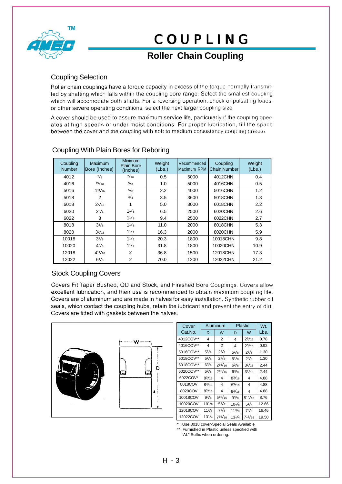

### **Roller Chain Coupling**

#### Coupling Selection

Roller chain couplings have a torque capacity in excess of the torque normally transmitted by shafting which falls within the coupling bore range. Select the smallest coupling which will accomodate both shafts. For a reversing operation, shock or pulsating loads. or other severe operating conditions, select the next larger coupling size.

A cover should be used to assure maximum service life, particularly if the coupling operates at high speeds or under moist conditions. For proper lubrication, fill the space between the cover and the coupling with soft to medium consistency coupling grease.

| Coupling<br><b>Number</b> | Maximum<br>Bore (Inches) | <b>Minimum</b><br><b>Plain Bore</b><br>(Inches) | Weight<br>(Lbs.) | Recommended<br>Maximum RPM | Coupling<br><b>Chain Number</b> | Weight<br>(Lbs.) |
|---------------------------|--------------------------|-------------------------------------------------|------------------|----------------------------|---------------------------------|------------------|
| 4012                      | 7/8                      | 7/16                                            | 0.5              | 5000                       | 4012CHN                         | 0.4              |
| 4016                      | 15/16                    | 5/8                                             | 1.0              | 5000                       | 4016CHN                         | 0.5              |
| 5016                      | 111/16                   | 5/8                                             | 2.2              | 4000                       | 5016CHN                         | 1.2              |
| 5018                      | 2                        | 3/4                                             | 3.5              | 3600                       | 5018CHN                         | 1.3              |
| 6018                      | $2^{7/16}$               | 1                                               | 5.0              | 3000                       | 6018CHN                         | 2.2              |
| 6020                      | $2^{3/4}$                | 11/s                                            | 6.5              | 2500                       | 6020CHN                         | 2.6              |
| 6022                      | 3                        | 11/s                                            | 9.4              | 2500                       | 6022CHN                         | 2.7              |
| 8018                      | $3^{1/8}$                | 11/8                                            | 11.0             | 2000                       | 8018CHN                         | 5.3              |
| 8020                      | 39/16                    | 11/2                                            | 16.3             | 2000                       | 8020CHN                         | 5.9              |
| 10018                     | $3^{7}/_8$               | 11/2                                            | 20.3             | 1800                       | 10018CHN                        | 9.8              |
| 10020                     | 45/8                     | 11/2                                            | 31.8             | 1800                       | 10020CHN                        | 10.9             |
| 12018                     | 411/16                   | 2                                               | 36.8             | 1500                       | 12018CHN                        | 17.3             |
| 12022                     | $6^{1/8}$                | $\overline{2}$                                  | 70.0             | 1200                       | 12022CHN                        | 21.2             |

#### Coupling With Plain Bores for Reboring

#### Stock Coupling Covers

Covers Fit Taper Bushed, QD and Stock, and Finished Bore Couplings. Covers allow excellent lubrication, and their use is recommended to obtain maximum coupling life. Covers are of aluminum and are made in halves for easy installation. Synthetic rubber oil seals, which contact the coupling hubs, retain the lubricant and prevent the entry of dirt. Covers are fitted with gaskets between the halves.



| Cover     |               | Aluminum       |               | <b>Plastic</b> | Wt.   |
|-----------|---------------|----------------|---------------|----------------|-------|
| Cat.No.   | D             | W              | D             | W              | Lbs.  |
| 4012COV** | 4             | 2              | 4             | 25/16          | 0.78  |
| 4016COV** | 4             | 2              | 4             | $2^{5/16}$     | 0.92  |
| 5016COV** | $5^{1}/8$     | $2^{3}/_{8}$   | $5^{1}/8$     | $2^{3}/_8$     | 1.30  |
| 5018COV** | $5^{1}/8$     | $2^{3}/_{8}$   | $5^{1}/8$     | $2^{3}/_{8}$   | 1.30  |
| 6018COV** | $6^{3}/_{8}$  | $2^{15/16}$    | $6^{3}/_{8}$  | $3^{1/16}$     | 2.44  |
| 6020COV** | $6^{3}/_{8}$  | $2^{15/16}$    | $6^{3}/_{8}$  | $3^{1/16}$     | 2.44  |
| 6022COV*  | $8^{3}/_{16}$ | 4              | $8^{3}/_{16}$ | 4              | 4.88  |
| 8018COV   | $8^{3}/_{16}$ | 4              | $8^{3}/_{16}$ | 4              | 4.88  |
| 8020COV   | $8^{3}/_{16}$ | 4              | $8^{3}/_{16}$ | 4              | 4.88  |
| 10018COV  | $9^{3}/_{8}$  | $5^{15}/_{16}$ | $9^{3}/_{8}$  | $5^{15/16}$    | 8.76  |
| 10020COV  | $10^{1}/_8$   | $5^{1}/_{4}$   | $10^{1}/_{8}$ | $5^{1}/4$      | 12.66 |
| 12018COV  | $11^{3}/_8$   | $7^{3}/_{8}$   | $11^{3}/_8$   | $7^{3}/_{8}$   | 16.46 |
| 12022COV  | $13^{1}/4$    | $7^{15/16}$    | $13^{1}/4$    | $7^{15}/_{16}$ | 19.50 |

Use 8018 cover-Special Seals Available

Furnished in Plastic unless specified with "AL" Suffix when ordering.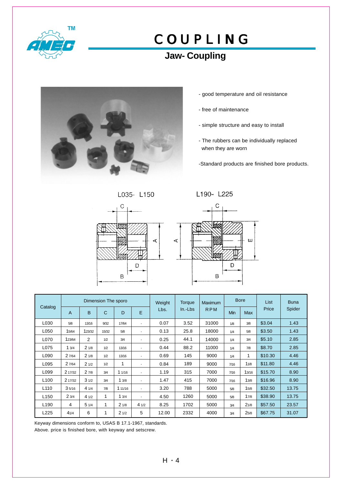

### **Jaw- Coupling**



- good temperature and oil resistance
- free of maintenance
- simple structure and easy to install
- The rubbers can be individually replaced when they are worn
- -Standard products are finished bore products.

L035- L150





|                  |                |                | Dimension The sporo |         |                | Weight | Torque    | <b>Maximum</b> |      | <b>Bore</b> | List    | <b>Buna</b> |
|------------------|----------------|----------------|---------------------|---------|----------------|--------|-----------|----------------|------|-------------|---------|-------------|
| Catalog          | $\overline{A}$ | B              | $\mathsf{C}$        | D       | E              | Lbs.   | $In.-Lbs$ | <b>RPM</b>     | Min  | Max         | Price   | Spider      |
| L030             | 5/8            | 13/16          | 9/32                | 17/64   | $\blacksquare$ | 0.07   | 3.52      | 31000          | 1/8  | 3/8         | \$3.04  | 1.43        |
| L050             | 15/64          | 123/32         | 15/32               | 5/8     | $\blacksquare$ | 0.13   | 25.8      | 18000          | 1/4  | 5/8         | \$3.50  | 1.43        |
| L070             | 123/64         | $\overline{2}$ | 1/2                 | 3/4     | ٠              | 0.25   | 44.1      | 14000          | 1/4  | 3/4         | \$5.10  | 2.85        |
| L075             | 13/4           | 21/8           | 1/2                 | 13/16   | $\blacksquare$ | 0.44   | 88.2      | 11000          | 1/4  | 7/8         | \$8.70  | 2.85        |
| L090             | 2 7/64         | 21/8           | 1/2                 | 13/16   | $\blacksquare$ | 0.69   | 145       | 9000           | 1/4  | 1           | \$10.30 | 4.46        |
| L095             | 2 7/64         | 21/2           | 1/2                 | 1       | $\blacksquare$ | 0.84   | 189       | 9000           | 7/16 | 11/8        | \$11.80 | 4.46        |
| L099             | 2 17/32        | 27/8           | 3/4                 | 11/16   | $\blacksquare$ | 1.19   | 315       | 7000           | 7/16 | 13/16       | \$15.70 | 8.90        |
| L <sub>100</sub> | 2 17/32        | 31/2           | 3/4                 | 13/8    | $\blacksquare$ | 1.47   | 415       | 7000           | 7/16 | 13/8        | \$16.96 | 8.90        |
| L <sub>110</sub> | 35/16          | 41/4           | 7/8                 | 1 11/16 | $\blacksquare$ | 3.20   | 788       | 5000           | 5/8  | 15/8        | \$32.50 | 13.75       |
| L <sub>150</sub> | 23/4           | 41/2           | 1                   | 13/4    | $\blacksquare$ | 4.50   | 1260      | 5000           | 5/8  | 17/8        | \$38.90 | 13.75       |
| L <sub>190</sub> | 4              | 51/4           | 1                   | 21/8    | 41/2           | 8.25   | 1702      | 5000           | 3/4  | 21/8        | \$57.50 | 23.57       |
| L225             | 41/4           | 6              | 1                   | 21/2    | 5              | 12.00  | 2332      | 4000           | 3/4  | 25/8        | \$67.75 | 31.07       |

Keyway dimensions conform to, USAS B 17.1-1967, standards.

Above. price is finished bore, with keyway and setscrew.